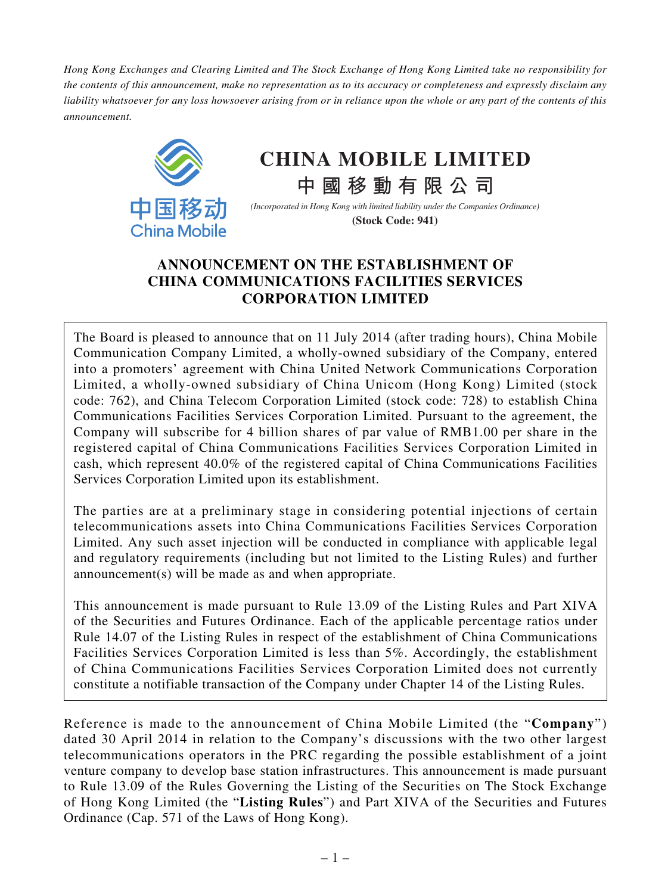*Hong Kong Exchanges and Clearing Limited and The Stock Exchange of Hong Kong Limited take no responsibility for the contents of this announcement, make no representation as to its accuracy or completeness and expressly disclaim any liability whatsoever for any loss howsoever arising from or in reliance upon the whole or any part of the contents of this announcement.*



# **ANNOUNCEMENT ON THE ESTABLISHMENT OF CHINA COMMUNICATIONS FACILITIES SERVICES CORPORATION LIMITED**

The Board is pleased to announce that on 11 July 2014 (after trading hours), China Mobile Communication Company Limited, a wholly-owned subsidiary of the Company, entered into a promoters' agreement with China United Network Communications Corporation Limited, a wholly-owned subsidiary of China Unicom (Hong Kong) Limited (stock code: 762), and China Telecom Corporation Limited (stock code: 728) to establish China Communications Facilities Services Corporation Limited. Pursuant to the agreement, the Company will subscribe for 4 billion shares of par value of RMB1.00 per share in the registered capital of China Communications Facilities Services Corporation Limited in cash, which represent 40.0% of the registered capital of China Communications Facilities Services Corporation Limited upon its establishment.

The parties are at a preliminary stage in considering potential injections of certain telecommunications assets into China Communications Facilities Services Corporation Limited. Any such asset injection will be conducted in compliance with applicable legal and regulatory requirements (including but not limited to the Listing Rules) and further announcement(s) will be made as and when appropriate.

This announcement is made pursuant to Rule 13.09 of the Listing Rules and Part XIVA of the Securities and Futures Ordinance. Each of the applicable percentage ratios under Rule 14.07 of the Listing Rules in respect of the establishment of China Communications Facilities Services Corporation Limited is less than 5%. Accordingly, the establishment of China Communications Facilities Services Corporation Limited does not currently constitute a notifiable transaction of the Company under Chapter 14 of the Listing Rules.

Reference is made to the announcement of China Mobile Limited (the "**Company**") dated 30 April 2014 in relation to the Company's discussions with the two other largest telecommunications operators in the PRC regarding the possible establishment of a joint venture company to develop base station infrastructures. This announcement is made pursuant to Rule 13.09 of the Rules Governing the Listing of the Securities on The Stock Exchange of Hong Kong Limited (the "**Listing Rules**") and Part XIVA of the Securities and Futures Ordinance (Cap. 571 of the Laws of Hong Kong).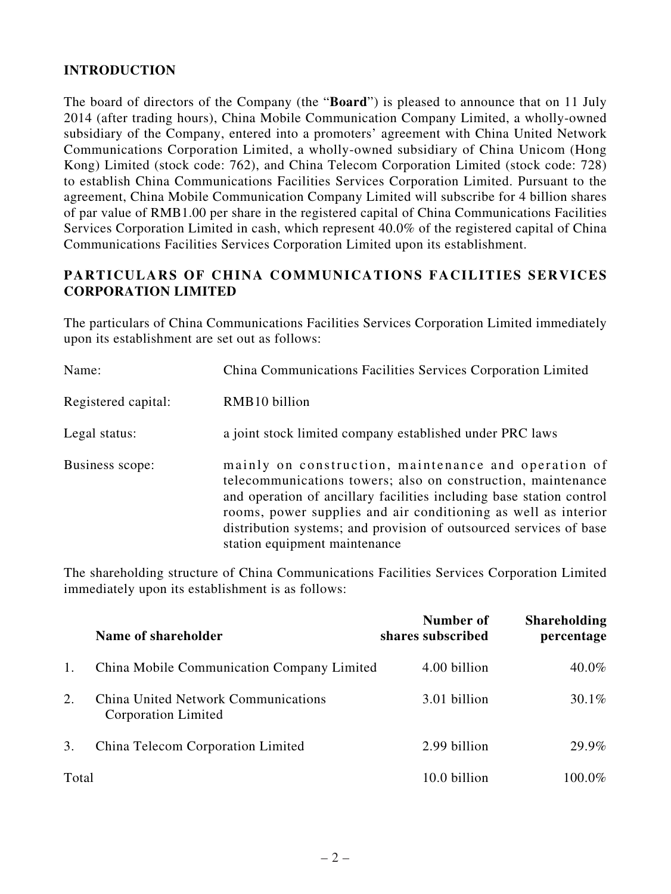## **INTRODUCTION**

The board of directors of the Company (the "**Board**") is pleased to announce that on 11 July 2014 (after trading hours), China Mobile Communication Company Limited, a wholly-owned subsidiary of the Company, entered into a promoters' agreement with China United Network Communications Corporation Limited, a wholly-owned subsidiary of China Unicom (Hong Kong) Limited (stock code: 762), and China Telecom Corporation Limited (stock code: 728) to establish China Communications Facilities Services Corporation Limited. Pursuant to the agreement, China Mobile Communication Company Limited will subscribe for 4 billion shares of par value of RMB1.00 per share in the registered capital of China Communications Facilities Services Corporation Limited in cash, which represent 40.0% of the registered capital of China Communications Facilities Services Corporation Limited upon its establishment.

#### **PARTICULARS OF CHINA COMMUNICATIONS FACILITIES SERVICES CORPORATION LIMITED**

The particulars of China Communications Facilities Services Corporation Limited immediately upon its establishment are set out as follows:

| Name:               | China Communications Facilities Services Corporation Limited                                                                                                                                                                                                                                                                                                          |  |
|---------------------|-----------------------------------------------------------------------------------------------------------------------------------------------------------------------------------------------------------------------------------------------------------------------------------------------------------------------------------------------------------------------|--|
| Registered capital: | RMB <sub>10</sub> billion                                                                                                                                                                                                                                                                                                                                             |  |
| Legal status:       | a joint stock limited company established under PRC laws                                                                                                                                                                                                                                                                                                              |  |
| Business scope:     | mainly on construction, maintenance and operation of<br>telecommunications towers; also on construction, maintenance<br>and operation of ancillary facilities including base station control<br>rooms, power supplies and air conditioning as well as interior<br>distribution systems; and provision of outsourced services of base<br>station equipment maintenance |  |

The shareholding structure of China Communications Facilities Services Corporation Limited immediately upon its establishment is as follows:

|       | Name of shareholder                                               | Number of<br>shares subscribed | Shareholding<br>percentage |
|-------|-------------------------------------------------------------------|--------------------------------|----------------------------|
| 1.    | China Mobile Communication Company Limited                        | 4.00 billion                   | 40.0%                      |
| 2.    | <b>China United Network Communications</b><br>Corporation Limited | 3.01 billion                   | 30.1%                      |
| 3.    | China Telecom Corporation Limited                                 | 2.99 billion                   | 29.9%                      |
| Total |                                                                   | 10.0 billion                   | $100.0\%$                  |